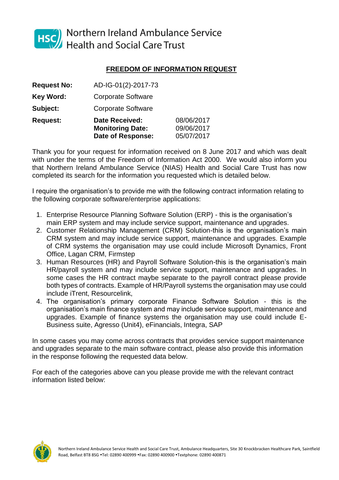

HSC Northern Ireland Ambulance Service<br>Health and Social Care Trust

# **FREEDOM OF INFORMATION REQUEST**

| <b>Request No:</b> | AD-IG-01(2)-2017-73                                                          |                                        |
|--------------------|------------------------------------------------------------------------------|----------------------------------------|
| <b>Key Word:</b>   | <b>Corporate Software</b>                                                    |                                        |
| Subject:           | <b>Corporate Software</b>                                                    |                                        |
| <b>Request:</b>    | <b>Date Received:</b><br><b>Monitoring Date:</b><br><b>Date of Response:</b> | 08/06/2017<br>09/06/2017<br>05/07/2017 |

Thank you for your request for information received on 8 June 2017 and which was dealt with under the terms of the Freedom of Information Act 2000. We would also inform you that Northern Ireland Ambulance Service (NIAS) Health and Social Care Trust has now completed its search for the information you requested which is detailed below.

I require the organisation's to provide me with the following contract information relating to the following corporate software/enterprise applications:

- 1. Enterprise Resource Planning Software Solution (ERP) this is the organisation's main ERP system and may include service support, maintenance and upgrades.
- 2. Customer Relationship Management (CRM) Solution-this is the organisation's main CRM system and may include service support, maintenance and upgrades. Example of CRM systems the organisation may use could include Microsoft Dynamics, Front Office, Lagan CRM, Firmstep
- 3. Human Resources (HR) and Payroll Software Solution-this is the organisation's main HR/payroll system and may include service support, maintenance and upgrades. In some cases the HR contract maybe separate to the payroll contract please provide both types of contracts. Example of HR/Payroll systems the organisation may use could include iTrent, Resourcelink,
- 4. The organisation's primary corporate Finance Software Solution this is the organisation's main finance system and may include service support, maintenance and upgrades. Example of finance systems the organisation may use could include E-Business suite, Agresso (Unit4), eFinancials, Integra, SAP

In some cases you may come across contracts that provides service support maintenance and upgrades separate to the main software contract, please also provide this information in the response following the requested data below.

For each of the categories above can you please provide me with the relevant contract information listed below:

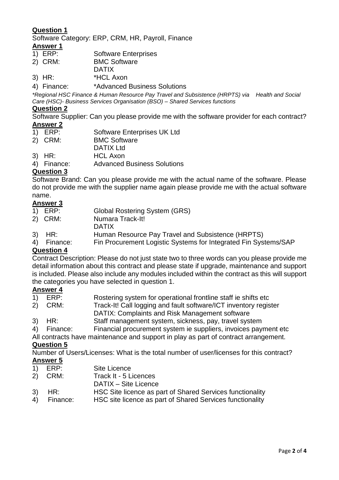# **Question 1**

Software Category: ERP, CRM, HR, Payroll, Finance

# **Answer 1**<br>1) ERP:

- Software Enterprises
- 2) CRM: BMC Software
- DATIX
- 3) HR: \*HCL Axon
- 4) Finance: \*Advanced Business Solutions

*\*Regional HSC Finance & Human Resource Pay Travel and Subsistence (HRPTS) via Health and Social Care (HSC)- Business Services Organisation (BSO) – Shared Services functions*

#### **Question 2**

Software Supplier: Can you please provide me with the software provider for each contract?

- **Answer 2**<br>1) **ERP**: Software Enterprises UK Ltd
- 2) CRM: BMC Software
- DATIX Ltd
- 3) HR: HCL Axon
- 4) Finance: Advanced Business Solutions

## **Question 3**

Software Brand: Can you please provide me with the actual name of the software. Please do not provide me with the supplier name again please provide me with the actual software name.

## **Answer 3**

- 1) ERP: Global Rostering System (GRS)
- 2) CRM: Numara Track-It!
- **DATIX**
- 3) HR: Human Resource Pay Travel and Subsistence (HRPTS)
- 4) Finance: Fin Procurement Logistic Systems for Integrated Fin Systems/SAP

#### **Question 4**

Contract Description: Please do not just state two to three words can you please provide me detail information about this contract and please state if upgrade, maintenance and support is included. Please also include any modules included within the contract as this will support the categories you have selected in question 1.

# **Answer 4**<br>1) **ERP**:

- 1) ERP: Rostering system for operational frontline staff ie shifts etc
- 2) CRM: Track-It! Call logging and fault software/ICT inventory register
	- DATIX: Complaints and Risk Management software
- 3) HR: Staff management system, sickness, pay, travel system
- 4) Finance: Financial procurement system ie suppliers, invoices payment etc
- All contracts have maintenance and support in play as part of contract arrangement.

#### **Question 5**

Number of Users/Licenses: What is the total number of user/licenses for this contract? **Answer 5**

- 1) ERP: Site Licence
- 2) CRM: Track It 5 Licences
- DATIX Site Licence
- 3) HR: HSC Site licence as part of Shared Services functionality
- 4) Finance: HSC site licence as part of Shared Services functionality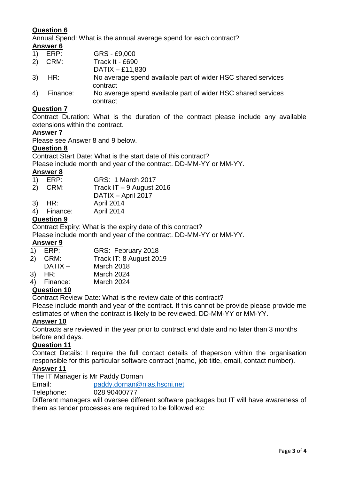# **Question 6**

Annual Spend: What is the annual average spend for each contract? **Answer 6**

| $\left( \begin{matrix} 1 \end{matrix} \right)$ | ERP:     | GRS - £9,000                                                 |
|------------------------------------------------|----------|--------------------------------------------------------------|
| 2)                                             | CRM:     | Track It - £690                                              |
|                                                |          | DATIX $-$ £11,830                                            |
| 3)                                             | HR:      | No average spend available part of wider HSC shared services |
|                                                |          | contract                                                     |
| 4)                                             | Finance: | No average spend available part of wider HSC shared services |
|                                                |          | contract                                                     |

#### **Question 7**

Contract Duration: What is the duration of the contract please include any available extensions within the contract.

#### **Answer 7**

Please see Answer 8 and 9 below.

#### **Question 8**

Contract Start Date: What is the start date of this contract?

Please include month and year of the contract. DD-MM-YY or MM-YY.

#### **Answer 8**

| 1) ERP: | GRS: 1 March 2017 |
|---------|-------------------|
|---------|-------------------|

2) CRM: Track IT – 9 August 2016

- DATIX April 2017
- 3) HR: April 2014
- 4) Finance: April 2014

# **Question 9**

Contract Expiry: What is the expiry date of this contract?

Please include month and year of the contract. DD-MM-YY or MM-YY.

#### **Answer 9**

- 1) ERP: GRS: February 2018
- 2) CRM: Track IT: 8 August 2019
- DATIX March 2018
- 3) HR: March 2024
- 4) Finance: March 2024

# **Question 10**

Contract Review Date: What is the review date of this contract?

Please include month and year of the contract. If this cannot be provide please provide me estimates of when the contract is likely to be reviewed. DD-MM-YY or MM-YY.

#### **Answer 10**

Contracts are reviewed in the year prior to contract end date and no later than 3 months before end days.

#### **Question 11**

Contact Details: I require the full contact details of theperson within the organisation responsible for this particular software contract (name, job title, email, contact number).

# **Answer 11**

The IT Manager is Mr Paddy Dornan

Email: [paddy.dornan@nias.hscni.net](mailto:paddy.dornan@nias.hscni.net)

Telephone: 028 90400777

Different managers will oversee different software packages but IT will have awareness of them as tender processes are required to be followed etc